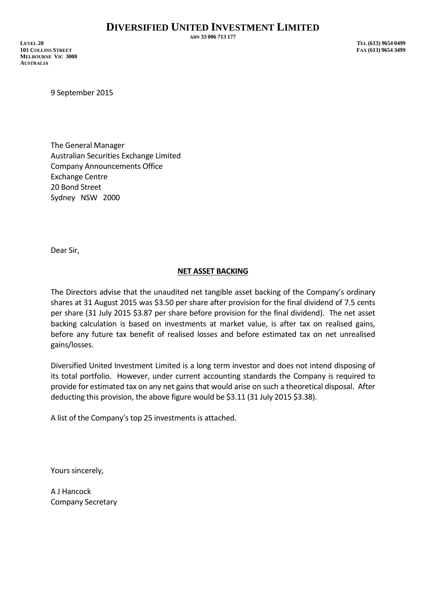**ABN 33 006 713 177**

**LEVEL 20 TEL (613) 9654 0499 101 COLLINS STREET FAX (613) 9654 3499 MELBOURNE VIC 3000 AUSTRALIA**

9 September 2015

The General Manager Australian Securities Exchange Limited Company Announcements Office Exchange Centre 20 Bond Street Sydney NSW 2000

Dear Sir,

## **NET ASSET BACKING**

The Directors advise that the unaudited net tangible asset backing of the Company's ordinary shares at 31 August 2015 was \$3.50 per share after provision for the final dividend of 7.5 cents per share (31 July 2015 \$3.87 per share before provision for the final dividend). The net asset backing calculation is based on investments at market value, is after tax on realised gains, before any future tax benefit of realised losses and before estimated tax on net unrealised gains/losses.

Diversified United Investment Limited is a long term investor and does not intend disposing of its total portfolio. However, under current accounting standards the Company is required to provide for estimated tax on any net gains that would arise on such a theoretical disposal. After deducting this provision, the above figure would be \$3.11 (31 July 2015 \$3.38).

A list of the Company's top 25 investments is attached.

Yours sincerely,

A J Hancock Company Secretary